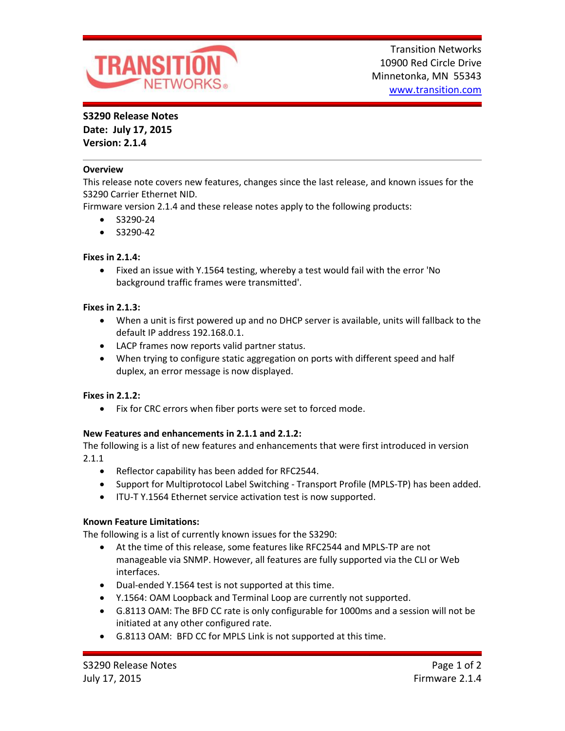

## **S3290 Release Notes**

**Date: July 17, 2015 Version: 2.1.4**

### **Overview**

This release note covers new features, changes since the last release, and known issues for the S3290 Carrier Ethernet NID.

Firmware version 2.1.4 and these release notes apply to the following products:

- $\bullet$  S3290-24
- $\bullet$  S3290-42

### **Fixes in 2.1.4:**

 Fixed an issue with Y.1564 testing, whereby a test would fail with the error 'No background traffic frames were transmitted'.

### **Fixes in 2.1.3:**

- When a unit is first powered up and no DHCP server is available, units will fallback to the default IP address 192.168.0.1.
- LACP frames now reports valid partner status.
- When trying to configure static aggregation on ports with different speed and half duplex, an error message is now displayed.

### **Fixes in 2.1.2:**

• Fix for CRC errors when fiber ports were set to forced mode.

### **New Features and enhancements in 2.1.1 and 2.1.2:**

The following is a list of new features and enhancements that were first introduced in version 2.1.1

- Reflector capability has been added for RFC2544.
- Support for Multiprotocol Label Switching Transport Profile (MPLS-TP) has been added.
- ITU-T Y.1564 Ethernet service activation test is now supported.

### **Known Feature Limitations:**

The following is a list of currently known issues for the S3290:

- At the time of this release, some features like RFC2544 and MPLS-TP are not manageable via SNMP. However, all features are fully supported via the CLI or Web interfaces.
- Dual-ended Y.1564 test is not supported at this time.
- Y.1564: OAM Loopback and Terminal Loop are currently not supported.
- G.8113 OAM: The BFD CC rate is only configurable for 1000ms and a session will not be initiated at any other configured rate.
- G.8113 OAM: BFD CC for MPLS Link is not supported at this time.